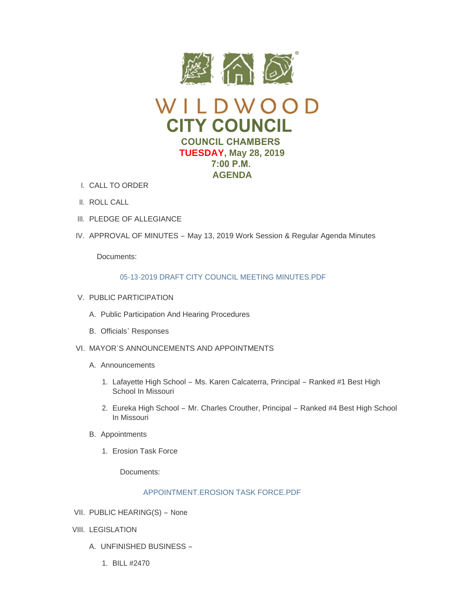



- CALL TO ORDER I.
- II. ROLL CALL
- III. PLEDGE OF ALLEGIANCE
- IV. APPROVAL OF MINUTES May 13, 2019 Work Session & Regular Agenda Minutes

Documents:

# [05-13-2019 DRAFT CITY COUNCIL MEETING MINUTES.PDF](https://www.cityofwildwood.com/AgendaCenter/ViewFile/Item/20422?fileID=26142)

- V. PUBLIC PARTICIPATION
	- A. Public Participation And Hearing Procedures
	- B. Officials' Responses
- VI. MAYOR'S ANNOUNCEMENTS AND APPOINTMENTS
	- A. Announcements
		- 1. Lafayette High School Ms. Karen Calcaterra, Principal Ranked #1 Best High School In Missouri
		- 2. Eureka High School Mr. Charles Crouther, Principal Ranked #4 Best High School In Missouri
	- B. Appointments
		- 1. Erosion Task Force

Documents:

# APPOINTMENT FROSION TASK FORCE PDF

- VII. PUBLIC HEARING(S) None
- VIII. LEGISLATION
	- UNFINISHED BUSINESS A.
		- BILL #2470 1.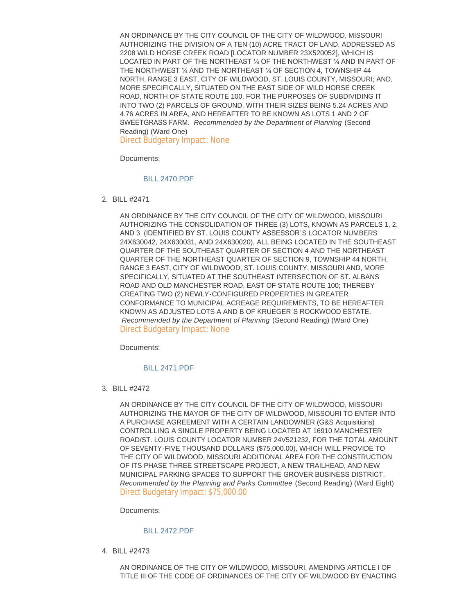AN ORDINANCE BY THE CITY COUNCIL OF THE CITY OF WILDWOOD, MISSOURI AUTHORIZING THE DIVISION OF A TEN (10) ACRE TRACT OF LAND, ADDRESSED AS 2208 WILD HORSE CREEK ROAD [LOCATOR NUMBER 23X520052], WHICH IS LOCATED IN PART OF THE NORTHEAST ¼ OF THE NORTHWEST ¼ AND IN PART OF THE NORTHWEST ¼ AND THE NORTHEAST ¼ OF SECTION 4, TOWNSHIP 44 NORTH, RANGE 3 EAST, CITY OF WILDWOOD, ST. LOUIS COUNTY, MISSOURI; AND, MORE SPECIFICALLY, SITUATED ON THE EAST SIDE OF WILD HORSE CREEK ROAD, NORTH OF STATE ROUTE 100, FOR THE PURPOSES OF SUBDIVIDING IT INTO TWO (2) PARCELS OF GROUND, WITH THEIR SIZES BEING 5.24 ACRES AND 4.76 ACRES IN AREA, AND HEREAFTER TO BE KNOWN AS LOTS 1 AND 2 OF SWEETGRASS FARM. *Recommended by the Department of Planning* (Second Reading) (Ward One)

Direct Budgetary Impact: None

Documents:

### [BILL 2470.PDF](https://www.cityofwildwood.com/AgendaCenter/ViewFile/Item/20435?fileID=26143)

BILL #2471 2.

AN ORDINANCE BY THE CITY COUNCIL OF THE CITY OF WILDWOOD, MISSOURI AUTHORIZING THE CONSOLIDATION OF THREE (3) LOTS, KNOWN AS PARCELS 1, 2, AND 3 (IDENTIFIED BY ST. LOUIS COUNTY ASSESSOR'S LOCATOR NUMBERS 24X630042, 24X630031, AND 24X630020), ALL BEING LOCATED IN THE SOUTHEAST QUARTER OF THE SOUTHEAST QUARTER OF SECTION 4 AND THE NORTHEAST QUARTER OF THE NORTHEAST QUARTER OF SECTION 9, TOWNSHIP 44 NORTH, RANGE 3 EAST, CITY OF WILDWOOD, ST. LOUIS COUNTY, MISSOURI AND, MORE SPECIFICALLY, SITUATED AT THE SOUTHEAST INTERSECTION OF ST. ALBANS ROAD AND OLD MANCHESTER ROAD, EAST OF STATE ROUTE 100; THEREBY CREATING TWO (2) NEWLY-CONFIGURED PROPERTIES IN GREATER CONFORMANCE TO MUNICIPAL ACREAGE REQUIREMENTS, TO BE HEREAFTER KNOWN AS ADJUSTED LOTS A AND B OF KRUEGER'S ROCKWOOD ESTATE. *Recommended by the Department of Planning* (Second Reading) (Ward One) Direct Budgetary Impact: None

Documents:

### [BILL 2471.PDF](https://www.cityofwildwood.com/AgendaCenter/ViewFile/Item/20436?fileID=26144)

BILL #2472 3.

AN ORDINANCE BY THE CITY COUNCIL OF THE CITY OF WILDWOOD, MISSOURI AUTHORIZING THE MAYOR OF THE CITY OF WILDWOOD, MISSOURI TO ENTER INTO A PURCHASE AGREEMENT WITH A CERTAIN LANDOWNER (G&S Acquisitions) CONTROLLING A SINGLE PROPERTY BEING LOCATED AT 16910 MANCHESTER ROAD/ST. LOUIS COUNTY LOCATOR NUMBER 24V521232, FOR THE TOTAL AMOUNT OF SEVENTY-FIVE THOUSAND DOLLARS (\$75,000.00), WHICH WILL PROVIDE TO THE CITY OF WILDWOOD, MISSOURI ADDITIONAL AREA FOR THE CONSTRUCTION OF ITS PHASE THREE STREETSCAPE PROJECT, A NEW TRAILHEAD, AND NEW MUNICIPAL PARKING SPACES TO SUPPORT THE GROVER BUSINESS DISTRICT. *Recommended by the Planning and Parks Committee* (Second Reading) (Ward Eight) Direct Budgetary Impact: \$75,000.00

Documents:

### [BILL 2472.PDF](https://www.cityofwildwood.com/AgendaCenter/ViewFile/Item/20437?fileID=26145)

BILL #2473 4.

AN ORDINANCE OF THE CITY OF WILDWOOD, MISSOURI, AMENDING ARTICLE I OF TITLE III OF THE CODE OF ORDINANCES OF THE CITY OF WILDWOOD BY ENACTING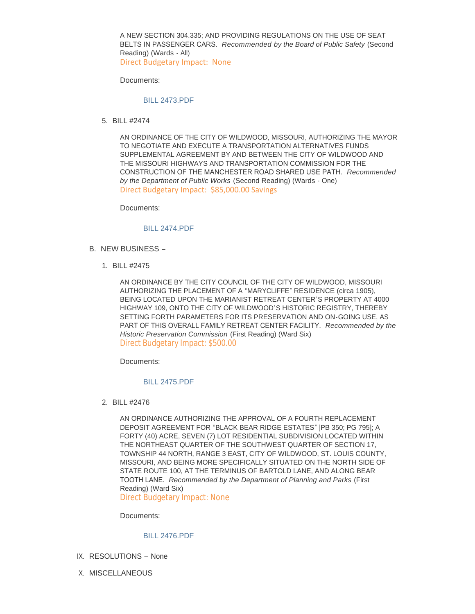A NEW SECTION 304.335; AND PROVIDING REGULATIONS ON THE USE OF SEAT BELTS IN PASSENGER CARS. *Recommended by the Board of Public Safety* (Second Reading) (Wards - All)

Direct Budgetary Impact: None

Documents:

#### [BILL 2473.PDF](https://www.cityofwildwood.com/AgendaCenter/ViewFile/Item/20438?fileID=26146)

BILL #2474 5.

AN ORDINANCE OF THE CITY OF WILDWOOD, MISSOURI, AUTHORIZING THE MAYOR TO NEGOTIATE AND EXECUTE A TRANSPORTATION ALTERNATIVES FUNDS SUPPLEMENTAL AGREEMENT BY AND BETWEEN THE CITY OF WILDWOOD AND THE MISSOURI HIGHWAYS AND TRANSPORTATION COMMISSION FOR THE CONSTRUCTION OF THE MANCHESTER ROAD SHARED USE PATH. *Recommended by the Department of Public Works* (Second Reading) (Wards - One) Direct Budgetary Impact: \$85,000.00 Savings

Documents:

#### [BILL 2474.PDF](https://www.cityofwildwood.com/AgendaCenter/ViewFile/Item/20439?fileID=26147)

- B. NEW BUSINESS
	- BILL #2475 1.

AN ORDINANCE BY THE CITY COUNCIL OF THE CITY OF WILDWOOD, MISSOURI AUTHORIZING THE PLACEMENT OF A "MARYCLIFFE" RESIDENCE (circa 1905), BEING LOCATED UPON THE MARIANIST RETREAT CENTER'S PROPERTY AT 4000 HIGHWAY 109, ONTO THE CITY OF WILDWOOD'S HISTORIC REGISTRY, THEREBY SETTING FORTH PARAMETERS FOR ITS PRESERVATION AND ON-GOING USE, AS PART OF THIS OVERALL FAMILY RETREAT CENTER FACILITY. *Recommended by the Historic Preservation Commission* (First Reading) (Ward Six) Direct Budgetary Impact: \$500.00

Documents:

#### [BILL 2475.PDF](https://www.cityofwildwood.com/AgendaCenter/ViewFile/Item/20441?fileID=26148)

BILL #2476 2.

AN ORDINANCE AUTHORIZING THE APPROVAL OF A FOURTH REPLACEMENT DEPOSIT AGREEMENT FOR "BLACK BEAR RIDGE ESTATES" [PB 350; PG 795]; A FORTY (40) ACRE, SEVEN (7) LOT RESIDENTIAL SUBDIVISION LOCATED WITHIN THE NORTHEAST QUARTER OF THE SOUTHWEST QUARTER OF SECTION 17, TOWNSHIP 44 NORTH, RANGE 3 EAST, CITY OF WILDWOOD, ST. LOUIS COUNTY, MISSOURI, AND BEING MORE SPECIFICALLY SITUATED ON THE NORTH SIDE OF STATE ROUTE 100, AT THE TERMINUS OF BARTOLD LANE, AND ALONG BEAR TOOTH LANE. *Recommended by the Department of Planning and Parks* (First Reading) (Ward Six)

Direct Budgetary Impact: None

Documents:

#### [BILL 2476.PDF](https://www.cityofwildwood.com/AgendaCenter/ViewFile/Item/20442?fileID=26149)

- IX. RESOLUTIONS None
- X. MISCELLANEOUS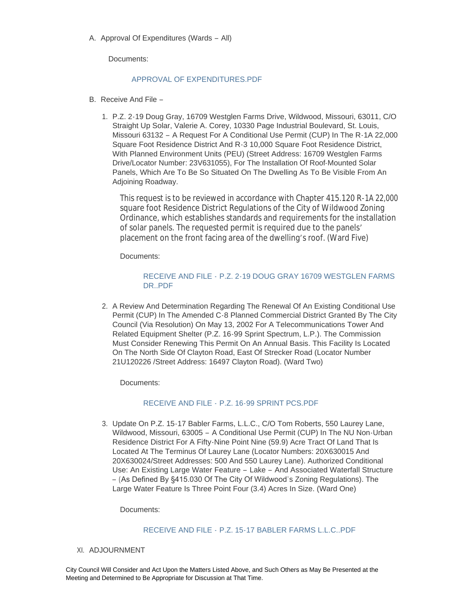A. Approval Of Expenditures (Wards – All)

Documents:

#### [APPROVAL OF EXPENDITURES.PDF](https://www.cityofwildwood.com/AgendaCenter/ViewFile/Item/20445?fileID=26150)

- B. Receive And File -
	- 1. P.Z. 2-19 Doug Gray, 16709 Westglen Farms Drive, Wildwood, Missouri, 63011, C/O Straight Up Solar, Valerie A. Corey, 10330 Page Industrial Boulevard, St. Louis, Missouri 63132 – A Request For A Conditional Use Permit (CUP) In The R-1A 22,000 Square Foot Residence District And R-3 10,000 Square Foot Residence District, With Planned Environment Units (PEU) (Street Address: 16709 Westglen Farms Drive/Locator Number: 23V631055), For The Installation Of Roof-Mounted Solar Panels, Which Are To Be So Situated On The Dwelling As To Be Visible From An Adjoining Roadway.

This request is to be reviewed in accordance with Chapter 415.120 R-1A 22,000 square foot Residence District Regulations of the City of Wildwood Zoning Ordinance, which establishes standards and requirements for the installation of solar panels. The requested permit is required due to the panels' placement on the front facing area of the dwelling's roof. (Ward Five)

Documents:

## RECEIVE AND FILE - [P.Z. 2-19 DOUG GRAY 16709 WESTGLEN FARMS](https://www.cityofwildwood.com/AgendaCenter/ViewFile/Item/20447?fileID=26151)  DR..PDF

2. A Review And Determination Regarding The Renewal Of An Existing Conditional Use Permit (CUP) In The Amended C-8 Planned Commercial District Granted By The City Council (Via Resolution) On May 13, 2002 For A Telecommunications Tower And Related Equipment Shelter (P.Z. 16-99 Sprint Spectrum, L.P.). The Commission Must Consider Renewing This Permit On An Annual Basis. This Facility Is Located On The North Side Of Clayton Road, East Of Strecker Road (Locator Number 21U120226 /Street Address: 16497 Clayton Road). (Ward Two)

Documents:

### RECEIVE AND FILE - [P.Z. 16-99 SPRINT PCS.PDF](https://www.cityofwildwood.com/AgendaCenter/ViewFile/Item/20448?fileID=26152)

3. Update On P.Z. 15-17 Babler Farms, L.L.C., C/O Tom Roberts, 550 Laurey Lane, Wildwood, Missouri, 63005 – A Conditional Use Permit (CUP) In The NU Non-Urban Residence District For A Fifty-Nine Point Nine (59.9) Acre Tract Of Land That Is Located At The Terminus Of Laurey Lane (Locator Numbers: 20X630015 And 20X630024/Street Addresses: 500 And 550 Laurey Lane). Authorized Conditional Use: An Existing Large Water Feature – Lake – And Associated Waterfall Structure – (As Defined By §415.030 Of The City Of Wildwood's Zoning Regulations). The Large Water Feature Is Three Point Four (3.4) Acres In Size. (Ward One)

Documents:

### RECEIVE AND FILE - [P.Z. 15-17 BABLER FARMS L.L.C..PDF](https://www.cityofwildwood.com/AgendaCenter/ViewFile/Item/20449?fileID=26153)

XI. ADJOURNMENT

City Council Will Consider and Act Upon the Matters Listed Above, and Such Others as May Be Presented at the Meeting and Determined to Be Appropriate for Discussion at That Time.